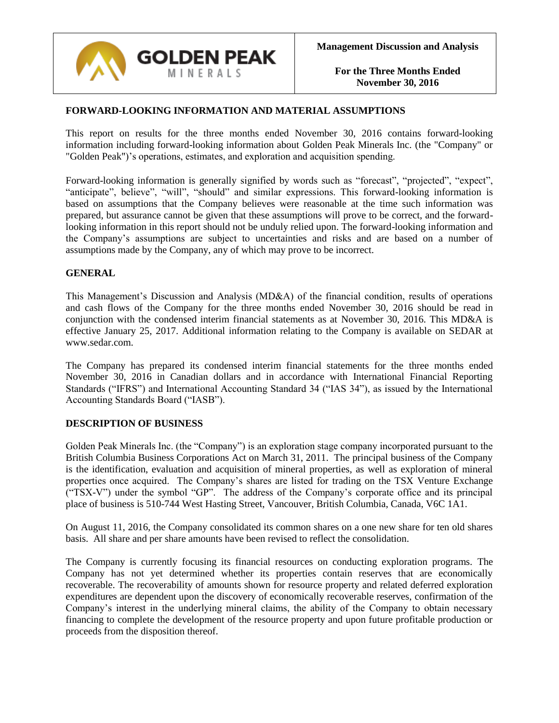

### **FORWARD-LOOKING INFORMATION AND MATERIAL ASSUMPTIONS**

This report on results for the three months ended November 30, 2016 contains forward-looking information including forward-looking information about Golden Peak Minerals Inc. (the "Company" or "Golden Peak")'s operations, estimates, and exploration and acquisition spending.

Forward-looking information is generally signified by words such as "forecast", "projected", "expect", "anticipate", believe", "will", "should" and similar expressions. This forward-looking information is based on assumptions that the Company believes were reasonable at the time such information was prepared, but assurance cannot be given that these assumptions will prove to be correct, and the forwardlooking information in this report should not be unduly relied upon. The forward-looking information and the Company's assumptions are subject to uncertainties and risks and are based on a number of assumptions made by the Company, any of which may prove to be incorrect.

### **GENERAL**

This Management's Discussion and Analysis (MD&A) of the financial condition, results of operations and cash flows of the Company for the three months ended November 30, 2016 should be read in conjunction with the condensed interim financial statements as at November 30, 2016. This MD&A is effective January 25, 2017. Additional information relating to the Company is available on SEDAR at www.sedar.com.

The Company has prepared its condensed interim financial statements for the three months ended November 30, 2016 in Canadian dollars and in accordance with International Financial Reporting Standards ("IFRS") and International Accounting Standard 34 ("IAS 34"), as issued by the International Accounting Standards Board ("IASB").

### **DESCRIPTION OF BUSINESS**

Golden Peak Minerals Inc. (the "Company") is an exploration stage company incorporated pursuant to the British Columbia Business Corporations Act on March 31, 2011. The principal business of the Company is the identification, evaluation and acquisition of mineral properties, as well as exploration of mineral properties once acquired. The Company's shares are listed for trading on the TSX Venture Exchange ("TSX-V") under the symbol "GP". The address of the Company's corporate office and its principal place of business is 510-744 West Hasting Street, Vancouver, British Columbia, Canada, V6C 1A1.

On August 11, 2016, the Company consolidated its common shares on a one new share for ten old shares basis. All share and per share amounts have been revised to reflect the consolidation.

The Company is currently focusing its financial resources on conducting exploration programs. The Company has not yet determined whether its properties contain reserves that are economically recoverable. The recoverability of amounts shown for resource property and related deferred exploration expenditures are dependent upon the discovery of economically recoverable reserves, confirmation of the Company's interest in the underlying mineral claims, the ability of the Company to obtain necessary financing to complete the development of the resource property and upon future profitable production or proceeds from the disposition thereof.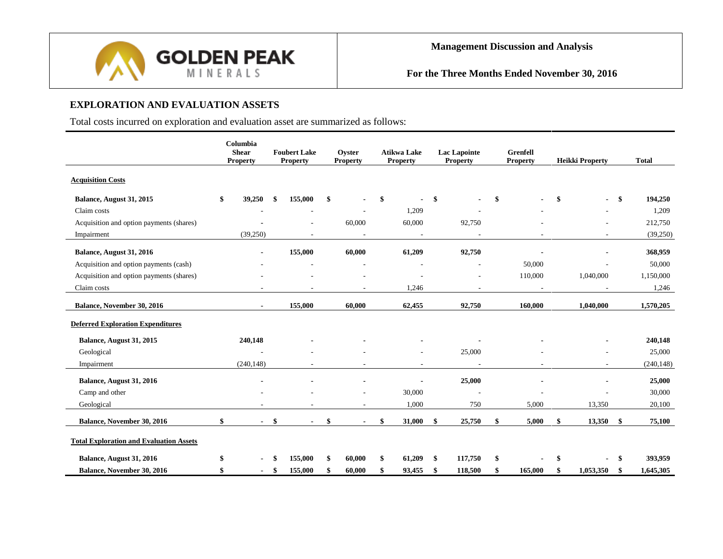

# **EXPLORATION AND EVALUATION ASSETS**

Total costs incurred on exploration and evaluation asset are summarized as follows:

|                                                | Columbia<br><b>Shear</b><br><b>Property</b> |     | <b>Foubert Lake</b><br><b>Property</b> | Oyster<br><b>Property</b> | <b>Atikwa Lake</b><br><b>Property</b> | <b>Lac Lapointe</b><br><b>Property</b> | <b>Grenfell</b><br><b>Property</b> |    | <b>Heikki Property</b> |    | <b>Total</b> |
|------------------------------------------------|---------------------------------------------|-----|----------------------------------------|---------------------------|---------------------------------------|----------------------------------------|------------------------------------|----|------------------------|----|--------------|
| <b>Acquisition Costs</b>                       |                                             |     |                                        |                           |                                       |                                        |                                    |    |                        |    |              |
| Balance, August 31, 2015                       | \$<br>39,250                                | -\$ | 155,000                                | \$                        | \$                                    | \$                                     | \$                                 | \$ |                        | \$ | 194,250      |
| Claim costs                                    |                                             |     |                                        |                           | 1,209                                 |                                        |                                    |    |                        |    | 1,209        |
| Acquisition and option payments (shares)       |                                             |     |                                        | 60,000                    | 60,000                                | 92,750                                 |                                    |    |                        |    | 212,750      |
| Impairment                                     | (39,250)                                    |     | $\overline{\phantom{a}}$               | $\overline{\phantom{a}}$  | $\sim$                                |                                        |                                    |    |                        |    | (39,250)     |
| Balance, August 31, 2016                       |                                             |     | 155,000                                | 60,000                    | 61,209                                | 92,750                                 |                                    |    |                        |    | 368,959      |
| Acquisition and option payments (cash)         |                                             |     |                                        |                           |                                       |                                        | 50,000                             |    |                        |    | 50,000       |
| Acquisition and option payments (shares)       |                                             |     |                                        |                           |                                       |                                        | 110,000                            |    | 1,040,000              |    | 1,150,000    |
| Claim costs                                    |                                             |     |                                        |                           | 1,246                                 |                                        |                                    |    |                        |    | 1,246        |
| Balance, November 30, 2016                     |                                             |     | 155,000                                | 60,000                    | 62,455                                | 92,750                                 | 160,000                            |    | 1,040,000              |    | 1,570,205    |
|                                                |                                             |     |                                        |                           |                                       |                                        |                                    |    |                        |    |              |
| <b>Deferred Exploration Expenditures</b>       |                                             |     |                                        |                           |                                       |                                        |                                    |    |                        |    |              |
| Balance, August 31, 2015                       | 240,148                                     |     |                                        |                           |                                       |                                        |                                    |    |                        |    | 240,148      |
| Geological                                     |                                             |     |                                        |                           |                                       | 25,000                                 |                                    |    |                        |    | 25,000       |
| Impairment                                     | (240, 148)                                  |     |                                        |                           |                                       |                                        |                                    |    |                        |    | (240, 148)   |
| Balance, August 31, 2016                       |                                             |     |                                        |                           |                                       | 25,000                                 |                                    |    |                        |    | 25,000       |
| Camp and other                                 |                                             |     |                                        |                           | 30,000                                |                                        |                                    |    |                        |    | 30,000       |
| Geological                                     |                                             |     |                                        |                           | 1,000                                 | 750                                    | 5,000                              |    | 13,350                 |    | 20,100       |
| Balance, November 30, 2016                     | \$                                          | \$  |                                        | \$                        | \$<br>31,000                          | \$<br>25,750                           | \$<br>5,000                        |    | 13,350                 | \$ | 75,100       |
| <b>Total Exploration and Evaluation Assets</b> |                                             |     |                                        |                           |                                       |                                        |                                    |    |                        |    |              |
| Balance, August 31, 2016                       | \$                                          |     | 155,000                                | \$<br>60,000              | 61,209                                | \$<br>117,750                          | \$                                 | S  |                        |    | 393,959      |
| <b>Balance, November 30, 2016</b>              | $\blacksquare$                              | \$  | 155,000                                | \$<br>60,000              | \$<br>93,455                          | \$<br>118,500                          | \$<br>165,000                      | \$ | 1,053,350              | -S | 1,645,305    |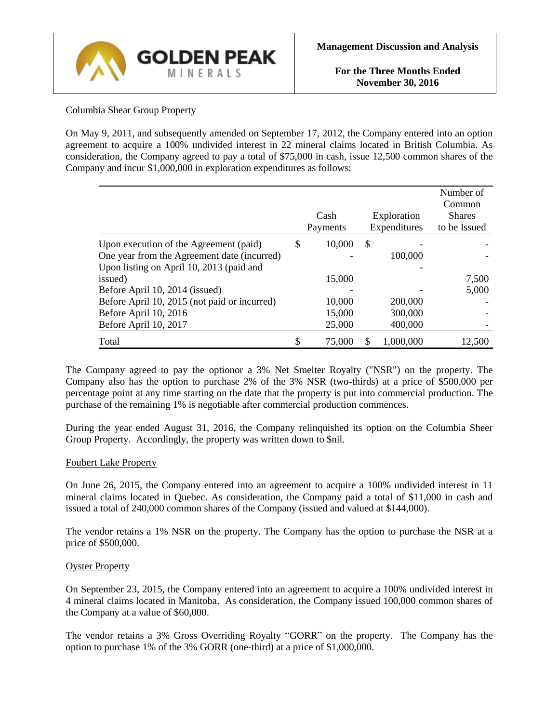

## Columbia Shear Group Property

On May 9, 2011, and subsequently amended on September 17, 2012, the Company entered into an option agreement to acquire a 100% undivided interest in 22 mineral claims located in British Columbia. As consideration, the Company agreed to pay a total of \$75,000 in cash, issue 12,500 common shares of the Company and incur \$1,000,000 in exploration expenditures as follows:

|                                              |              |              | Number of<br>Common |
|----------------------------------------------|--------------|--------------|---------------------|
|                                              | Cash         | Exploration  | <b>Shares</b>       |
|                                              | Payments     | Expenditures | to be Issued        |
| Upon execution of the Agreement (paid)       | \$<br>10,000 | \$           |                     |
| One year from the Agreement date (incurred)  |              | 100,000      |                     |
| Upon listing on April 10, 2013 (paid and     |              |              |                     |
| issued)                                      | 15,000       |              | 7,500               |
| Before April 10, 2014 (issued)               |              |              | 5,000               |
| Before April 10, 2015 (not paid or incurred) | 10,000       | 200,000      |                     |
| Before April 10, 2016                        | 15,000       | 300,000      |                     |
| Before April 10, 2017                        | 25,000       | 400,000      |                     |
| Total                                        | 75,000       | 1,000,000    | 12,500              |

The Company agreed to pay the optionor a 3% Net Smelter Royalty ("NSR") on the property. The Company also has the option to purchase 2% of the 3% NSR (two-thirds) at a price of \$500,000 per percentage point at any time starting on the date that the property is put into commercial production. The purchase of the remaining 1% is negotiable after commercial production commences.

During the year ended August 31, 2016, the Company relinquished its option on the Columbia Sheer Group Property. Accordingly, the property was written down to \$nil.

### Foubert Lake Property

On June 26, 2015, the Company entered into an agreement to acquire a 100% undivided interest in 11 mineral claims located in Quebec. As consideration, the Company paid a total of \$11,000 in cash and issued a total of 240,000 common shares of the Company (issued and valued at \$144,000).

The vendor retains a 1% NSR on the property. The Company has the option to purchase the NSR at a price of \$500,000.

### Oyster Property

On September 23, 2015, the Company entered into an agreement to acquire a 100% undivided interest in 4 mineral claims located in Manitoba. As consideration, the Company issued 100,000 common shares of the Company at a value of \$60,000.

The vendor retains a 3% Gross Overriding Royalty "GORR" on the property. The Company has the option to purchase 1% of the 3% GORR (one-third) at a price of \$1,000,000.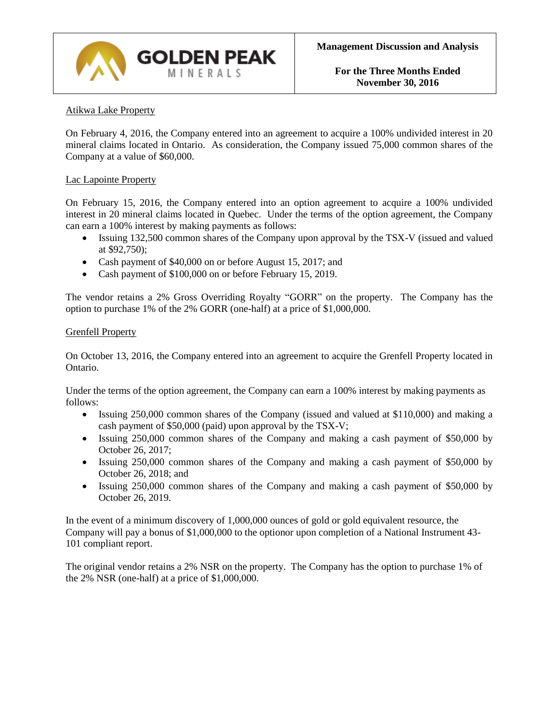

### Atikwa Lake Property

On February 4, 2016, the Company entered into an agreement to acquire a 100% undivided interest in 20 mineral claims located in Ontario. As consideration, the Company issued 75,000 common shares of the Company at a value of \$60,000.

#### Lac Lapointe Property

On February 15, 2016, the Company entered into an option agreement to acquire a 100% undivided interest in 20 mineral claims located in Quebec. Under the terms of the option agreement, the Company can earn a 100% interest by making payments as follows:

- Issuing 132,500 common shares of the Company upon approval by the TSX-V (issued and valued at \$92,750);
- Cash payment of \$40,000 on or before August 15, 2017; and
- Cash payment of \$100,000 on or before February 15, 2019.

The vendor retains a 2% Gross Overriding Royalty "GORR" on the property. The Company has the option to purchase 1% of the 2% GORR (one-half) at a price of \$1,000,000.

#### Grenfell Property

On October 13, 2016, the Company entered into an agreement to acquire the Grenfell Property located in Ontario.

Under the terms of the option agreement, the Company can earn a 100% interest by making payments as follows:

- Issuing 250,000 common shares of the Company (issued and valued at \$110,000) and making a cash payment of \$50,000 (paid) upon approval by the TSX-V;
- Issuing 250,000 common shares of the Company and making a cash payment of \$50,000 by October 26, 2017;
- Issuing 250,000 common shares of the Company and making a cash payment of \$50,000 by October 26, 2018; and
- Issuing 250,000 common shares of the Company and making a cash payment of \$50,000 by October 26, 2019.

In the event of a minimum discovery of 1,000,000 ounces of gold or gold equivalent resource, the Company will pay a bonus of \$1,000,000 to the optionor upon completion of a National Instrument 43- 101 compliant report.

The original vendor retains a 2% NSR on the property. The Company has the option to purchase 1% of the 2% NSR (one-half) at a price of \$1,000,000.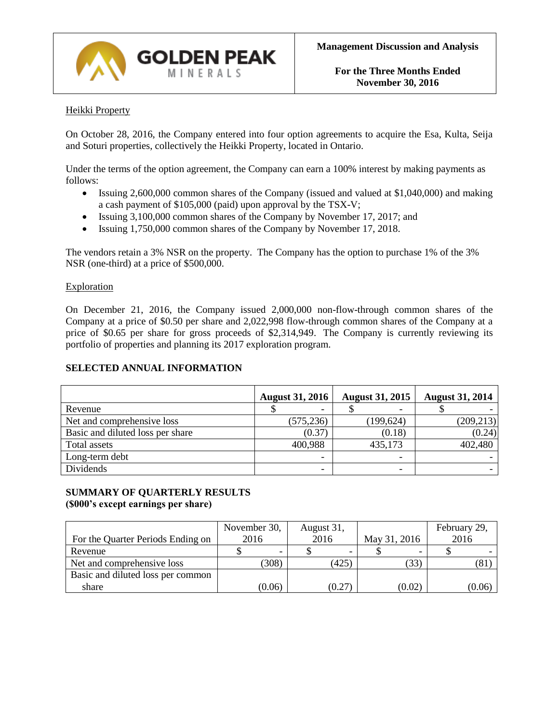

### Heikki Property

On October 28, 2016, the Company entered into four option agreements to acquire the Esa, Kulta, Seija and Soturi properties, collectively the Heikki Property, located in Ontario.

Under the terms of the option agreement, the Company can earn a 100% interest by making payments as follows:

- Issuing 2,600,000 common shares of the Company (issued and valued at \$1,040,000) and making a cash payment of \$105,000 (paid) upon approval by the TSX-V;
- Issuing 3,100,000 common shares of the Company by November 17, 2017; and
- Issuing 1,750,000 common shares of the Company by November 17, 2018.

The vendors retain a 3% NSR on the property. The Company has the option to purchase 1% of the 3% NSR (one-third) at a price of \$500,000.

#### Exploration

On December 21, 2016, the Company issued 2,000,000 non-flow-through common shares of the Company at a price of \$0.50 per share and 2,022,998 flow-through common shares of the Company at a price of \$0.65 per share for gross proceeds of \$2,314,949. The Company is currently reviewing its portfolio of properties and planning its 2017 exploration program.

### **SELECTED ANNUAL INFORMATION**

|                                  | <b>August 31, 2016</b> | <b>August 31, 2015</b> | <b>August 31, 2014</b> |
|----------------------------------|------------------------|------------------------|------------------------|
| Revenue                          |                        |                        |                        |
| Net and comprehensive loss       | (575, 236)             | (199, 624)             | (209, 213)             |
| Basic and diluted loss per share | (0.37)                 | (0.18)                 | (0.24)                 |
| Total assets                     | 400,988                | 435,173                | 402,480                |
| Long-term debt                   |                        |                        |                        |
| Dividends                        |                        |                        |                        |

### **SUMMARY OF QUARTERLY RESULTS (\$000's except earnings per share)**

|                                   | November 30, | August 31, |              | February 29, |
|-----------------------------------|--------------|------------|--------------|--------------|
| For the Quarter Periods Ending on | 2016         | 2016       | May 31, 2016 | 2016         |
| Revenue                           |              |            |              |              |
| Net and comprehensive loss        | (308)        | (425)      | (33)         | (81)         |
| Basic and diluted loss per common |              |            |              |              |
| share                             | (0.06)       | (0.27)     | (0.02)       | (0.06)       |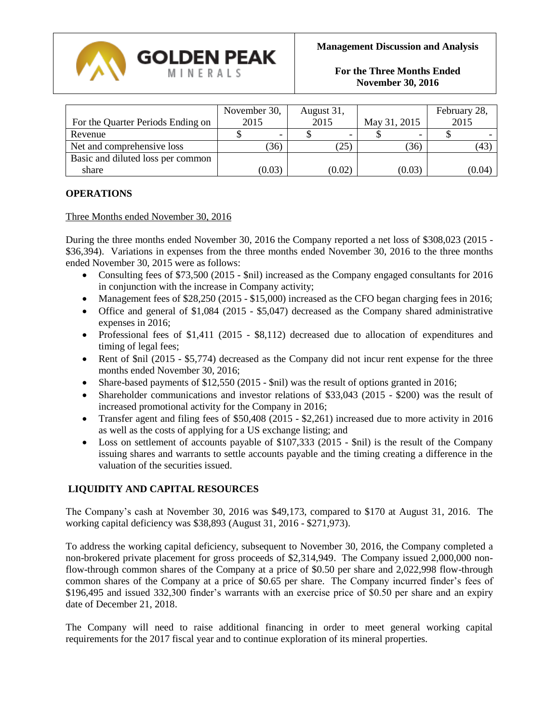

|                                   | November 30, | August 31, |              | February 28, |  |
|-----------------------------------|--------------|------------|--------------|--------------|--|
| For the Quarter Periods Ending on | 2015         | 2015       | May 31, 2015 | 2015         |  |
| Revenue                           |              |            |              |              |  |
| Net and comprehensive loss        | (36)         | (25)       | (36)         | (43)         |  |
| Basic and diluted loss per common |              |            |              |              |  |
| share                             | (0.03)       | (0.02)     | (0.03)       | (0.04)       |  |

### **OPERATIONS**

#### Three Months ended November 30, 2016

During the three months ended November 30, 2016 the Company reported a net loss of \$308,023 (2015 - \$36,394). Variations in expenses from the three months ended November 30, 2016 to the three months ended November 30, 2015 were as follows:

- Consulting fees of \$73,500 (2015 \$nil) increased as the Company engaged consultants for 2016 in conjunction with the increase in Company activity;
- Management fees of \$28,250 (2015 \$15,000) increased as the CFO began charging fees in 2016;
- Office and general of \$1,084 (2015 \$5,047) decreased as the Company shared administrative expenses in 2016;
- Professional fees of \$1,411 (2015 \$8,112) decreased due to allocation of expenditures and timing of legal fees;
- Rent of \$nil (2015 \$5,774) decreased as the Company did not incur rent expense for the three months ended November 30, 2016;
- Share-based payments of \$12,550 (2015 \$nil) was the result of options granted in 2016;
- Shareholder communications and investor relations of \$33,043 (2015 \$200) was the result of increased promotional activity for the Company in 2016;
- Transfer agent and filing fees of \$50,408 (2015 \$2,261) increased due to more activity in 2016 as well as the costs of applying for a US exchange listing; and
- Loss on settlement of accounts payable of \$107,333 (2015 \$nil) is the result of the Company issuing shares and warrants to settle accounts payable and the timing creating a difference in the valuation of the securities issued.

## **LIQUIDITY AND CAPITAL RESOURCES**

The Company's cash at November 30, 2016 was \$49,173, compared to \$170 at August 31, 2016. The working capital deficiency was \$38,893 (August 31, 2016 - \$271,973).

To address the working capital deficiency, subsequent to November 30, 2016, the Company completed a non-brokered private placement for gross proceeds of \$2,314,949. The Company issued 2,000,000 nonflow-through common shares of the Company at a price of \$0.50 per share and 2,022,998 flow-through common shares of the Company at a price of \$0.65 per share. The Company incurred finder's fees of \$196,495 and issued 332,300 finder's warrants with an exercise price of \$0.50 per share and an expiry date of December 21, 2018.

The Company will need to raise additional financing in order to meet general working capital requirements for the 2017 fiscal year and to continue exploration of its mineral properties.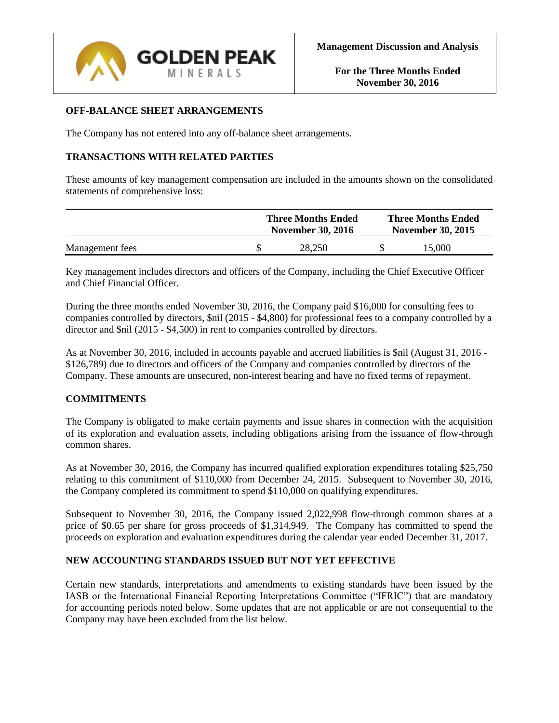

### **OFF-BALANCE SHEET ARRANGEMENTS**

The Company has not entered into any off-balance sheet arrangements.

### **TRANSACTIONS WITH RELATED PARTIES**

These amounts of key management compensation are included in the amounts shown on the consolidated statements of comprehensive loss:

|                 | <b>Three Months Ended</b><br><b>November 30, 2016</b> | <b>Three Months Ended</b><br><b>November 30, 2015</b> |        |  |
|-----------------|-------------------------------------------------------|-------------------------------------------------------|--------|--|
| Management fees | 28.250                                                |                                                       | 15.000 |  |

Key management includes directors and officers of the Company, including the Chief Executive Officer and Chief Financial Officer.

During the three months ended November 30, 2016, the Company paid \$16,000 for consulting fees to companies controlled by directors, \$nil (2015 - \$4,800) for professional fees to a company controlled by a director and \$nil (2015 - \$4,500) in rent to companies controlled by directors.

As at November 30, 2016, included in accounts payable and accrued liabilities is \$nil (August 31, 2016 - \$126,789) due to directors and officers of the Company and companies controlled by directors of the Company. These amounts are unsecured, non-interest bearing and have no fixed terms of repayment.

### **COMMITMENTS**

The Company is obligated to make certain payments and issue shares in connection with the acquisition of its exploration and evaluation assets, including obligations arising from the issuance of flow-through common shares.

As at November 30, 2016, the Company has incurred qualified exploration expenditures totaling \$25,750 relating to this commitment of \$110,000 from December 24, 2015. Subsequent to November 30, 2016, the Company completed its commitment to spend \$110,000 on qualifying expenditures.

Subsequent to November 30, 2016, the Company issued 2,022,998 flow-through common shares at a price of \$0.65 per share for gross proceeds of \$1,314,949. The Company has committed to spend the proceeds on exploration and evaluation expenditures during the calendar year ended December 31, 2017.

### **NEW ACCOUNTING STANDARDS ISSUED BUT NOT YET EFFECTIVE**

Certain new standards, interpretations and amendments to existing standards have been issued by the IASB or the International Financial Reporting Interpretations Committee ("IFRIC") that are mandatory for accounting periods noted below. Some updates that are not applicable or are not consequential to the Company may have been excluded from the list below.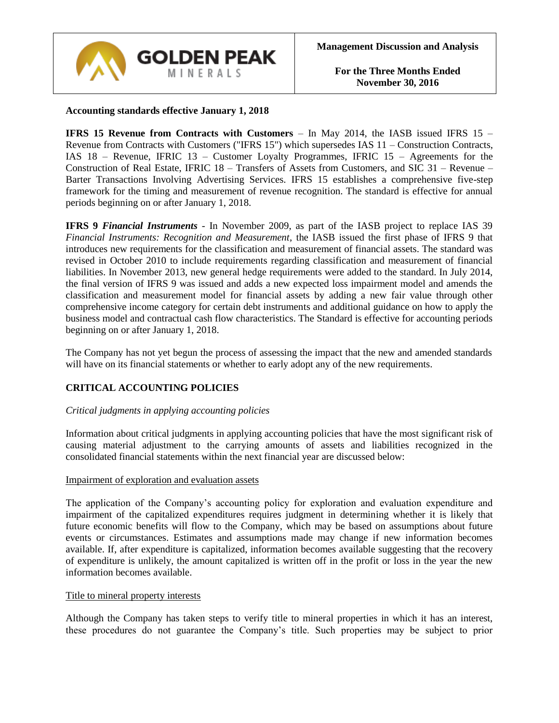

### **Accounting standards effective January 1, 2018**

**IFRS 15 Revenue from Contracts with Customers** – In May 2014, the IASB issued IFRS 15 – Revenue from Contracts with Customers ("IFRS 15") which supersedes IAS 11 – Construction Contracts, IAS 18 – Revenue, IFRIC 13 – Customer Loyalty Programmes, IFRIC 15 – Agreements for the Construction of Real Estate, IFRIC 18 – Transfers of Assets from Customers, and SIC 31 – Revenue – Barter Transactions Involving Advertising Services. IFRS 15 establishes a comprehensive five-step framework for the timing and measurement of revenue recognition. The standard is effective for annual periods beginning on or after January 1, 2018.

**IFRS 9** *Financial Instruments* - In November 2009, as part of the IASB project to replace IAS 39 *Financial Instruments: Recognition and Measurement*, the IASB issued the first phase of IFRS 9 that introduces new requirements for the classification and measurement of financial assets. The standard was revised in October 2010 to include requirements regarding classification and measurement of financial liabilities. In November 2013, new general hedge requirements were added to the standard. In July 2014, the final version of IFRS 9 was issued and adds a new expected loss impairment model and amends the classification and measurement model for financial assets by adding a new fair value through other comprehensive income category for certain debt instruments and additional guidance on how to apply the business model and contractual cash flow characteristics. The Standard is effective for accounting periods beginning on or after January 1, 2018.

The Company has not yet begun the process of assessing the impact that the new and amended standards will have on its financial statements or whether to early adopt any of the new requirements.

## **CRITICAL ACCOUNTING POLICIES**

### *Critical judgments in applying accounting policies*

Information about critical judgments in applying accounting policies that have the most significant risk of causing material adjustment to the carrying amounts of assets and liabilities recognized in the consolidated financial statements within the next financial year are discussed below:

#### Impairment of exploration and evaluation assets

The application of the Company's accounting policy for exploration and evaluation expenditure and impairment of the capitalized expenditures requires judgment in determining whether it is likely that future economic benefits will flow to the Company, which may be based on assumptions about future events or circumstances. Estimates and assumptions made may change if new information becomes available. If, after expenditure is capitalized, information becomes available suggesting that the recovery of expenditure is unlikely, the amount capitalized is written off in the profit or loss in the year the new information becomes available.

#### Title to mineral property interests

Although the Company has taken steps to verify title to mineral properties in which it has an interest, these procedures do not guarantee the Company's title. Such properties may be subject to prior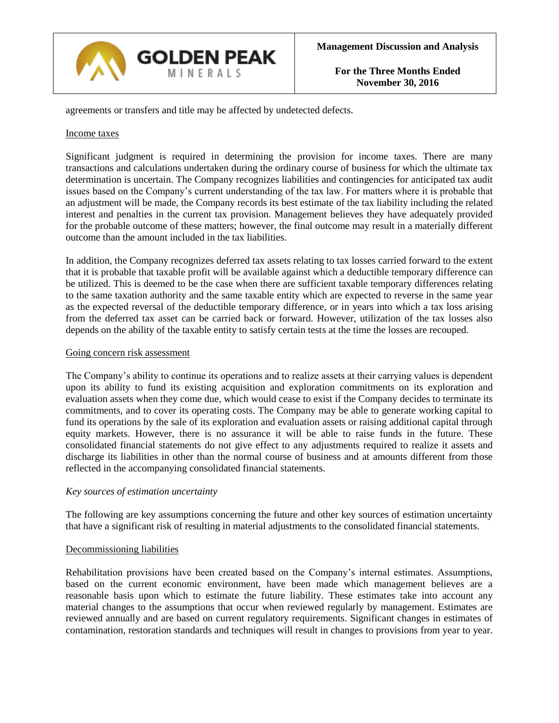

agreements or transfers and title may be affected by undetected defects.

#### Income taxes

Significant judgment is required in determining the provision for income taxes. There are many transactions and calculations undertaken during the ordinary course of business for which the ultimate tax determination is uncertain. The Company recognizes liabilities and contingencies for anticipated tax audit issues based on the Company's current understanding of the tax law. For matters where it is probable that an adjustment will be made, the Company records its best estimate of the tax liability including the related interest and penalties in the current tax provision. Management believes they have adequately provided for the probable outcome of these matters; however, the final outcome may result in a materially different outcome than the amount included in the tax liabilities.

In addition, the Company recognizes deferred tax assets relating to tax losses carried forward to the extent that it is probable that taxable profit will be available against which a deductible temporary difference can be utilized. This is deemed to be the case when there are sufficient taxable temporary differences relating to the same taxation authority and the same taxable entity which are expected to reverse in the same year as the expected reversal of the deductible temporary difference, or in years into which a tax loss arising from the deferred tax asset can be carried back or forward. However, utilization of the tax losses also depends on the ability of the taxable entity to satisfy certain tests at the time the losses are recouped.

#### Going concern risk assessment

The Company's ability to continue its operations and to realize assets at their carrying values is dependent upon its ability to fund its existing acquisition and exploration commitments on its exploration and evaluation assets when they come due, which would cease to exist if the Company decides to terminate its commitments, and to cover its operating costs. The Company may be able to generate working capital to fund its operations by the sale of its exploration and evaluation assets or raising additional capital through equity markets. However, there is no assurance it will be able to raise funds in the future. These consolidated financial statements do not give effect to any adjustments required to realize it assets and discharge its liabilities in other than the normal course of business and at amounts different from those reflected in the accompanying consolidated financial statements.

### *Key sources of estimation uncertainty*

The following are key assumptions concerning the future and other key sources of estimation uncertainty that have a significant risk of resulting in material adjustments to the consolidated financial statements.

### Decommissioning liabilities

Rehabilitation provisions have been created based on the Company's internal estimates. Assumptions, based on the current economic environment, have been made which management believes are a reasonable basis upon which to estimate the future liability. These estimates take into account any material changes to the assumptions that occur when reviewed regularly by management. Estimates are reviewed annually and are based on current regulatory requirements. Significant changes in estimates of contamination, restoration standards and techniques will result in changes to provisions from year to year.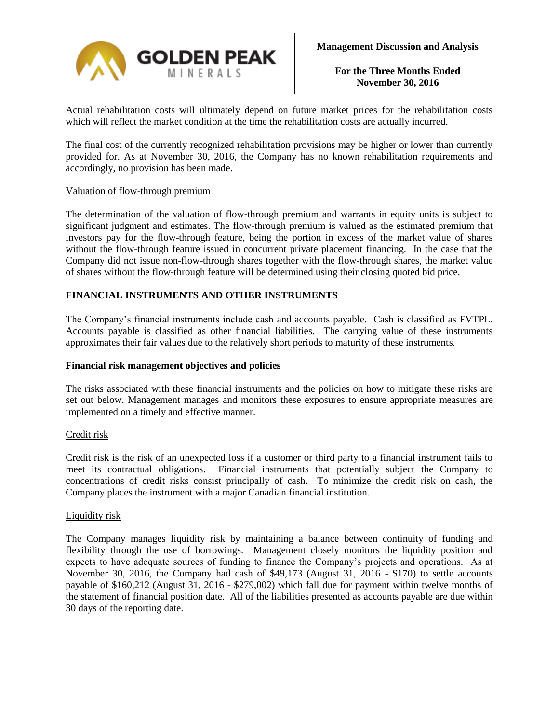

Actual rehabilitation costs will ultimately depend on future market prices for the rehabilitation costs which will reflect the market condition at the time the rehabilitation costs are actually incurred.

The final cost of the currently recognized rehabilitation provisions may be higher or lower than currently provided for. As at November 30, 2016, the Company has no known rehabilitation requirements and accordingly, no provision has been made.

### Valuation of flow-through premium

The determination of the valuation of flow-through premium and warrants in equity units is subject to significant judgment and estimates. The flow-through premium is valued as the estimated premium that investors pay for the flow-through feature, being the portion in excess of the market value of shares without the flow-through feature issued in concurrent private placement financing. In the case that the Company did not issue non-flow-through shares together with the flow-through shares, the market value of shares without the flow-through feature will be determined using their closing quoted bid price.

### **FINANCIAL INSTRUMENTS AND OTHER INSTRUMENTS**

The Company's financial instruments include cash and accounts payable. Cash is classified as FVTPL. Accounts payable is classified as other financial liabilities. The carrying value of these instruments approximates their fair values due to the relatively short periods to maturity of these instruments.

#### **Financial risk management objectives and policies**

The risks associated with these financial instruments and the policies on how to mitigate these risks are set out below. Management manages and monitors these exposures to ensure appropriate measures are implemented on a timely and effective manner.

### Credit risk

Credit risk is the risk of an unexpected loss if a customer or third party to a financial instrument fails to meet its contractual obligations. Financial instruments that potentially subject the Company to concentrations of credit risks consist principally of cash. To minimize the credit risk on cash, the Company places the instrument with a major Canadian financial institution.

#### Liquidity risk

The Company manages liquidity risk by maintaining a balance between continuity of funding and flexibility through the use of borrowings. Management closely monitors the liquidity position and expects to have adequate sources of funding to finance the Company's projects and operations. As at November 30, 2016, the Company had cash of \$49,173 (August 31, 2016 - \$170) to settle accounts payable of \$160,212 (August 31, 2016 - \$279,002) which fall due for payment within twelve months of the statement of financial position date. All of the liabilities presented as accounts payable are due within 30 days of the reporting date.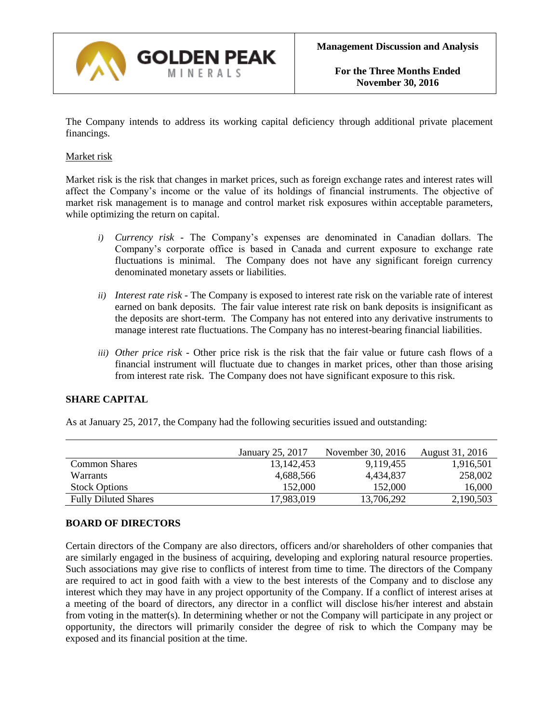

The Company intends to address its working capital deficiency through additional private placement financings.

### Market risk

Market risk is the risk that changes in market prices, such as foreign exchange rates and interest rates will affect the Company's income or the value of its holdings of financial instruments. The objective of market risk management is to manage and control market risk exposures within acceptable parameters, while optimizing the return on capital.

- *i) Currency risk -* The Company's expenses are denominated in Canadian dollars. The Company's corporate office is based in Canada and current exposure to exchange rate fluctuations is minimal. The Company does not have any significant foreign currency denominated monetary assets or liabilities.
- *ii) Interest rate risk -* The Company is exposed to interest rate risk on the variable rate of interest earned on bank deposits. The fair value interest rate risk on bank deposits is insignificant as the deposits are short-term. The Company has not entered into any derivative instruments to manage interest rate fluctuations. The Company has no interest-bearing financial liabilities.
- *iii) Other price risk -* Other price risk is the risk that the fair value or future cash flows of a financial instrument will fluctuate due to changes in market prices, other than those arising from interest rate risk. The Company does not have significant exposure to this risk.

## **SHARE CAPITAL**

As at January 25, 2017, the Company had the following securities issued and outstanding:

|                             | January 25, 2017 | November 30, 2016 | August 31, 2016 |
|-----------------------------|------------------|-------------------|-----------------|
| <b>Common Shares</b>        | 13, 142, 453     | 9,119,455         | 1,916,501       |
| Warrants                    | 4,688,566        | 4.434.837         | 258,002         |
| <b>Stock Options</b>        | 152,000          | 152,000           | 16,000          |
| <b>Fully Diluted Shares</b> | 17,983,019       | 13,706,292        | 2,190,503       |

### **BOARD OF DIRECTORS**

Certain directors of the Company are also directors, officers and/or shareholders of other companies that are similarly engaged in the business of acquiring, developing and exploring natural resource properties. Such associations may give rise to conflicts of interest from time to time. The directors of the Company are required to act in good faith with a view to the best interests of the Company and to disclose any interest which they may have in any project opportunity of the Company. If a conflict of interest arises at a meeting of the board of directors, any director in a conflict will disclose his/her interest and abstain from voting in the matter(s). In determining whether or not the Company will participate in any project or opportunity, the directors will primarily consider the degree of risk to which the Company may be exposed and its financial position at the time.